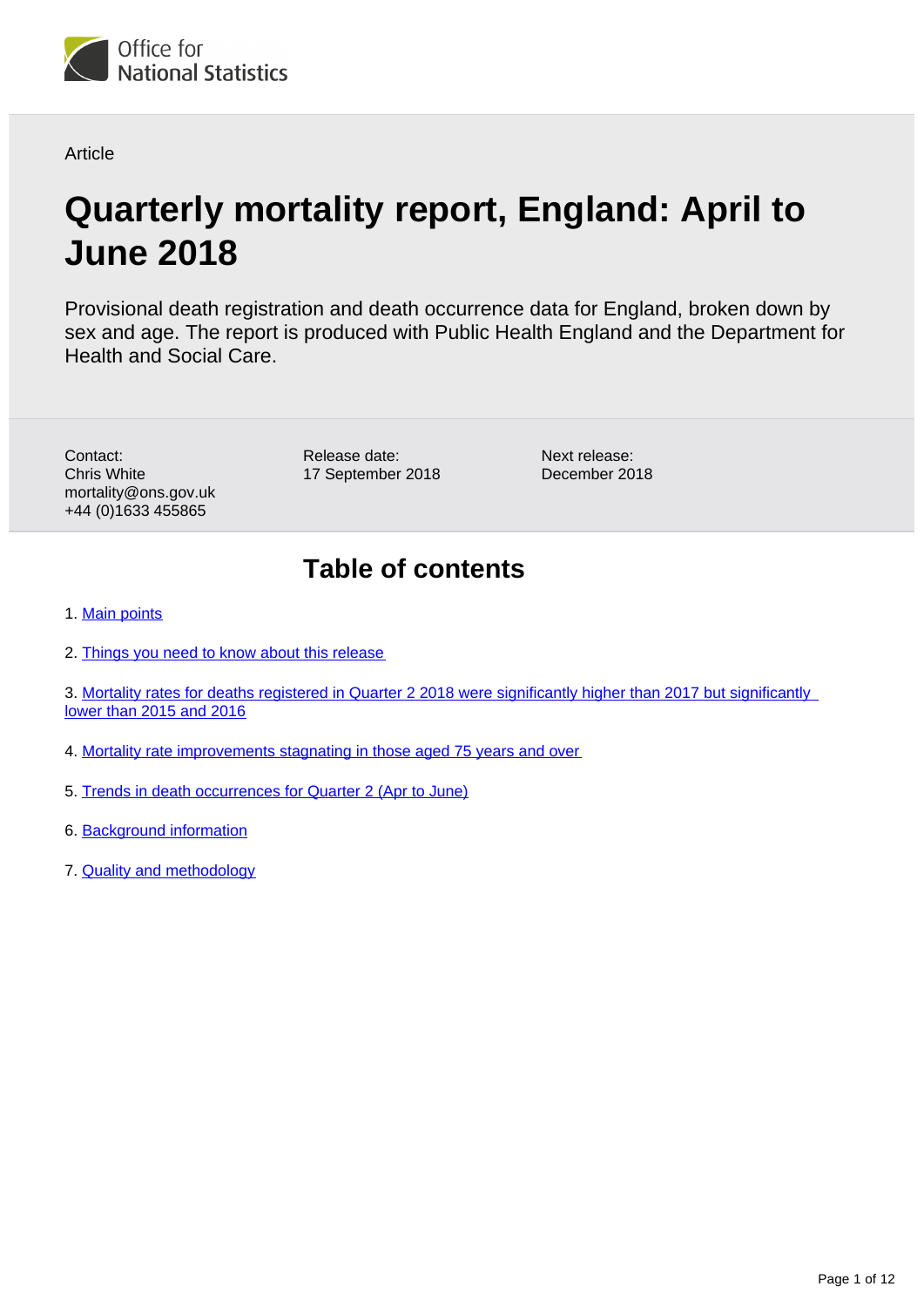

**Article** 

# **Quarterly mortality report, England: April to June 2018**

Provisional death registration and death occurrence data for England, broken down by sex and age. The report is produced with Public Health England and the Department for Health and Social Care.

Contact: Chris White mortality@ons.gov.uk +44 (0)1633 455865

Release date: 17 September 2018 Next release: December 2018

## **Table of contents**

1. [Main points](#page-1-0)

2. [Things you need to know about this release](#page-1-1)

3. [Mortality rates for deaths registered in Quarter 2 2018 were significantly higher than 2017 but significantly](#page-1-2)  [lower than 2015 and 2016](#page-1-2)

- 4. [Mortality rate improvements stagnating in those aged 75 years and over](#page-4-0)
- 5. [Trends in death occurrences for Quarter 2 \(Apr to June\)](#page-7-0)
- 6. [Background information](#page-9-0)
- 7. [Quality and methodology](#page-11-0)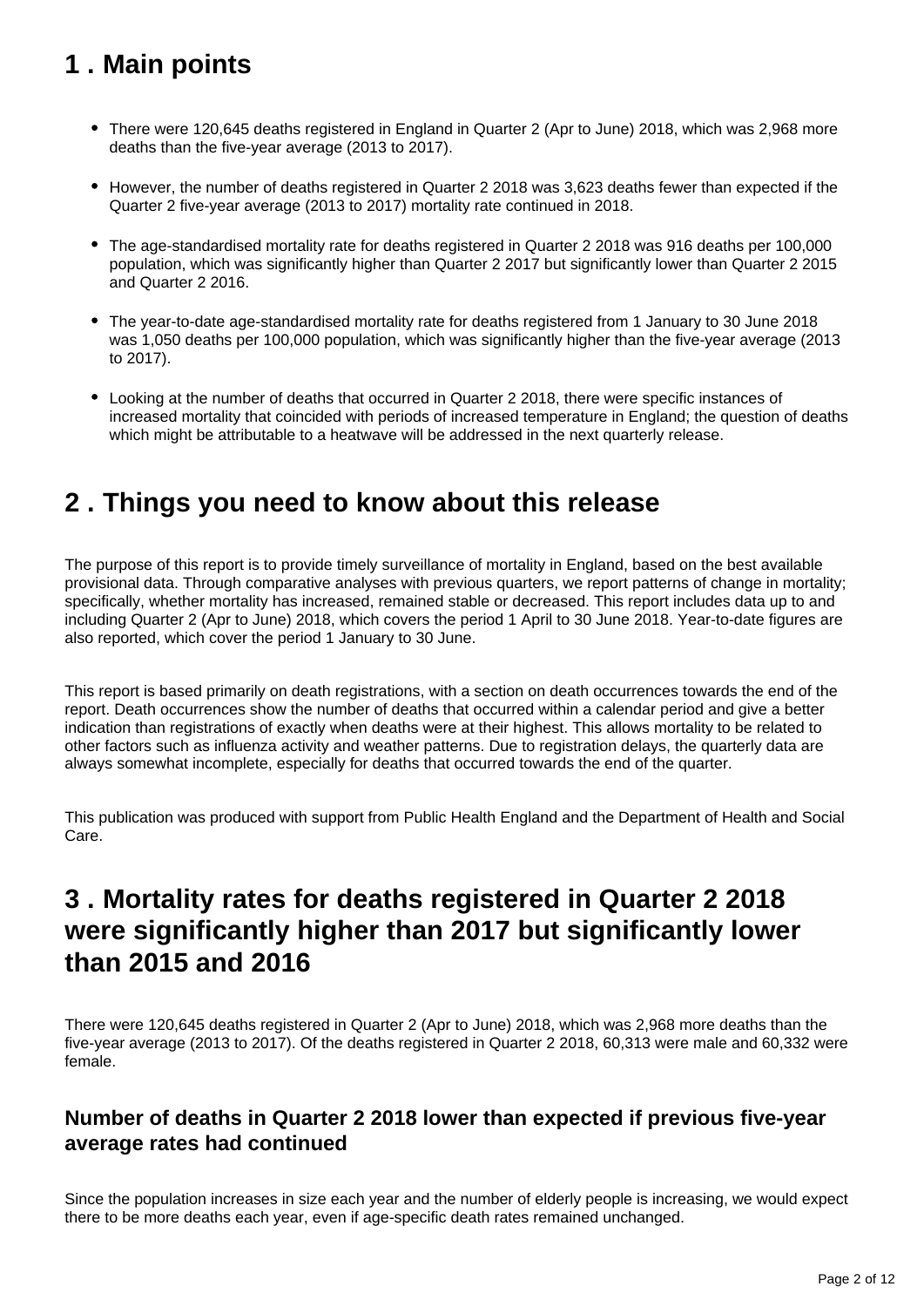## <span id="page-1-0"></span>**1 . Main points**

- There were 120,645 deaths registered in England in Quarter 2 (Apr to June) 2018, which was 2,968 more deaths than the five-year average (2013 to 2017).
- However, the number of deaths registered in Quarter 2 2018 was 3,623 deaths fewer than expected if the Quarter 2 five-year average (2013 to 2017) mortality rate continued in 2018.
- The age-standardised mortality rate for deaths registered in Quarter 2 2018 was 916 deaths per 100,000 population, which was significantly higher than Quarter 2 2017 but significantly lower than Quarter 2 2015 and Quarter 2 2016.
- The year-to-date age-standardised mortality rate for deaths registered from 1 January to 30 June 2018 was 1,050 deaths per 100,000 population, which was significantly higher than the five-year average (2013 to 2017).
- Looking at the number of deaths that occurred in Quarter 2 2018, there were specific instances of increased mortality that coincided with periods of increased temperature in England; the question of deaths which might be attributable to a heatwave will be addressed in the next quarterly release.

## <span id="page-1-1"></span>**2 . Things you need to know about this release**

The purpose of this report is to provide timely surveillance of mortality in England, based on the best available provisional data. Through comparative analyses with previous quarters, we report patterns of change in mortality; specifically, whether mortality has increased, remained stable or decreased. This report includes data up to and including Quarter 2 (Apr to June) 2018, which covers the period 1 April to 30 June 2018. Year-to-date figures are also reported, which cover the period 1 January to 30 June.

This report is based primarily on death registrations, with a section on death occurrences towards the end of the report. Death occurrences show the number of deaths that occurred within a calendar period and give a better indication than registrations of exactly when deaths were at their highest. This allows mortality to be related to other factors such as influenza activity and weather patterns. Due to registration delays, the quarterly data are always somewhat incomplete, especially for deaths that occurred towards the end of the quarter.

This publication was produced with support from Public Health England and the Department of Health and Social Care.

## <span id="page-1-2"></span>**3 . Mortality rates for deaths registered in Quarter 2 2018 were significantly higher than 2017 but significantly lower than 2015 and 2016**

There were 120,645 deaths registered in Quarter 2 (Apr to June) 2018, which was 2,968 more deaths than the five-year average (2013 to 2017). Of the deaths registered in Quarter 2 2018, 60,313 were male and 60,332 were female.

### **Number of deaths in Quarter 2 2018 lower than expected if previous five-year average rates had continued**

Since the population increases in size each year and the number of elderly people is increasing, we would expect there to be more deaths each year, even if age-specific death rates remained unchanged.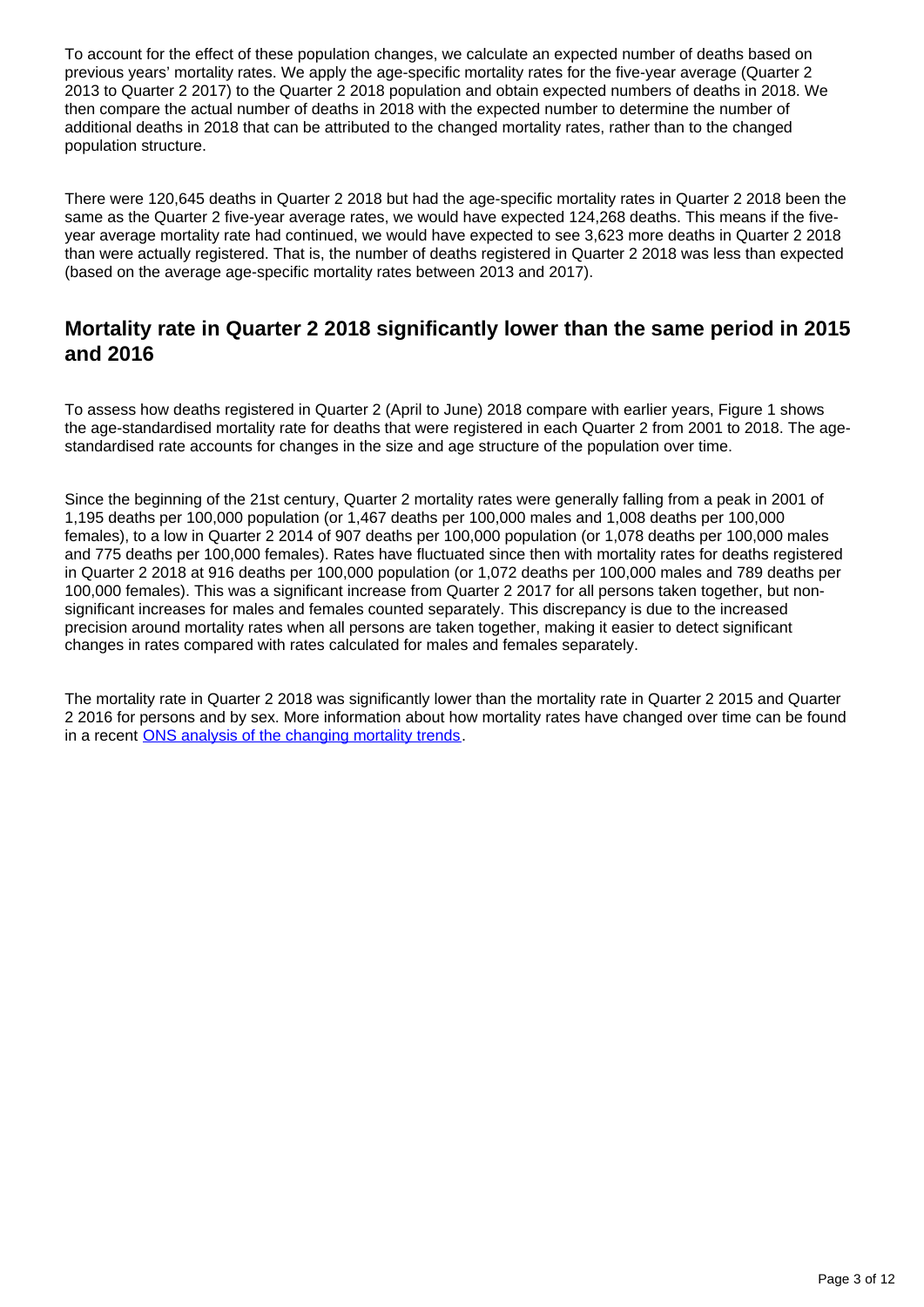To account for the effect of these population changes, we calculate an expected number of deaths based on previous years' mortality rates. We apply the age-specific mortality rates for the five-year average (Quarter 2 2013 to Quarter 2 2017) to the Quarter 2 2018 population and obtain expected numbers of deaths in 2018. We then compare the actual number of deaths in 2018 with the expected number to determine the number of additional deaths in 2018 that can be attributed to the changed mortality rates, rather than to the changed population structure.

There were 120,645 deaths in Quarter 2 2018 but had the age-specific mortality rates in Quarter 2 2018 been the same as the Quarter 2 five-year average rates, we would have expected 124,268 deaths. This means if the fiveyear average mortality rate had continued, we would have expected to see 3,623 more deaths in Quarter 2 2018 than were actually registered. That is, the number of deaths registered in Quarter 2 2018 was less than expected (based on the average age-specific mortality rates between 2013 and 2017).

### **Mortality rate in Quarter 2 2018 significantly lower than the same period in 2015 and 2016**

To assess how deaths registered in Quarter 2 (April to June) 2018 compare with earlier years, Figure 1 shows the age-standardised mortality rate for deaths that were registered in each Quarter 2 from 2001 to 2018. The agestandardised rate accounts for changes in the size and age structure of the population over time.

Since the beginning of the 21st century, Quarter 2 mortality rates were generally falling from a peak in 2001 of 1,195 deaths per 100,000 population (or 1,467 deaths per 100,000 males and 1,008 deaths per 100,000 females), to a low in Quarter 2 2014 of 907 deaths per 100,000 population (or 1,078 deaths per 100,000 males and 775 deaths per 100,000 females). Rates have fluctuated since then with mortality rates for deaths registered in Quarter 2 2018 at 916 deaths per 100,000 population (or 1,072 deaths per 100,000 males and 789 deaths per 100,000 females). This was a significant increase from Quarter 2 2017 for all persons taken together, but nonsignificant increases for males and females counted separately. This discrepancy is due to the increased precision around mortality rates when all persons are taken together, making it easier to detect significant changes in rates compared with rates calculated for males and females separately.

The mortality rate in Quarter 2 2018 was significantly lower than the mortality rate in Quarter 2 2015 and Quarter 2 2016 for persons and by sex. More information about how mortality rates have changed over time can be found in a recent [ONS analysis of the changing mortality trends.](https://www.ons.gov.uk/peoplepopulationandcommunity/birthsdeathsandmarriages/deaths/articles/changingtrendsinmortalityinenglandandwales1990to2017/experimentalstatistics)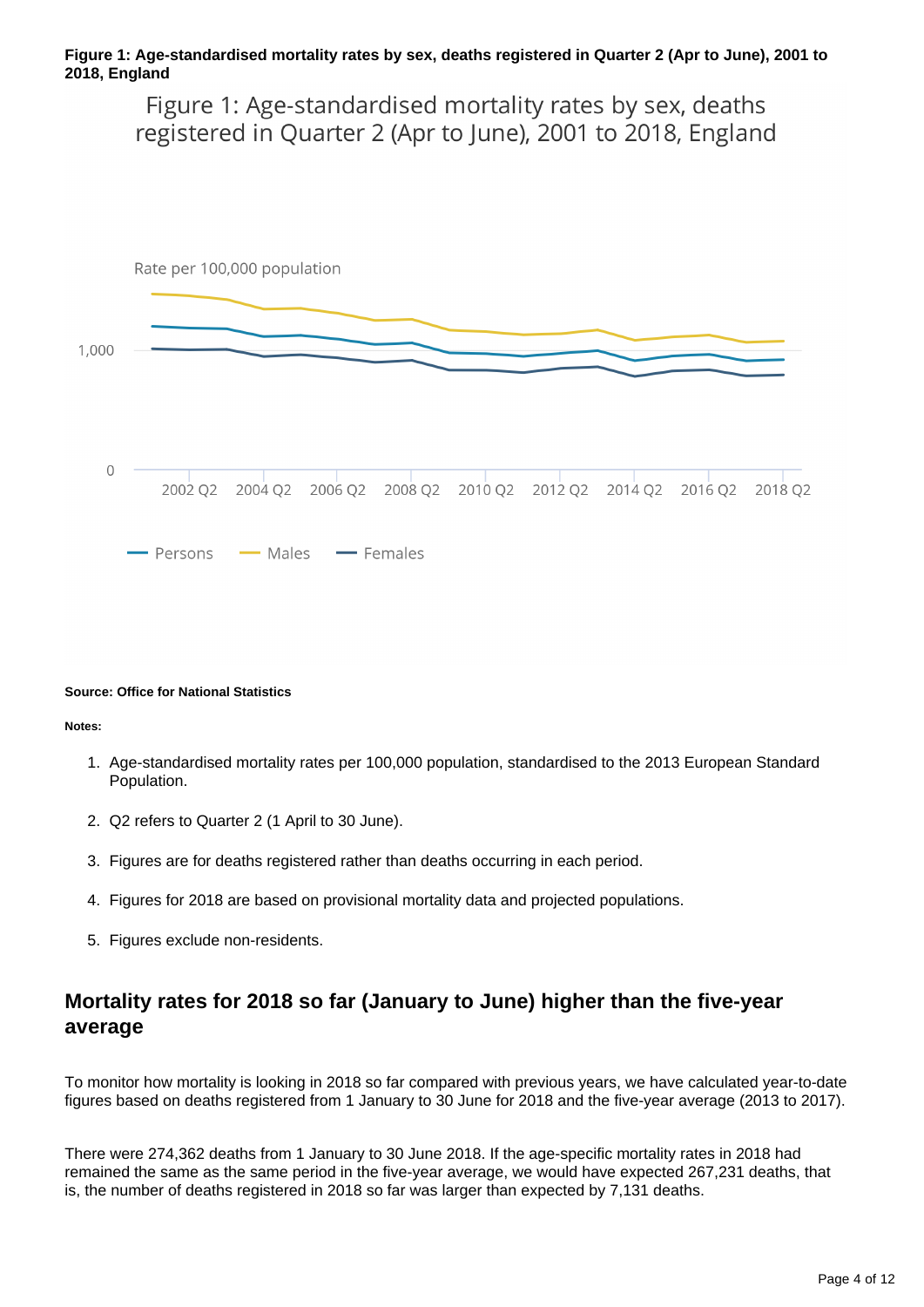#### **Figure 1: Age-standardised mortality rates by sex, deaths registered in Quarter 2 (Apr to June), 2001 to 2018, England**

Figure 1: Age-standardised mortality rates by sex, deaths registered in Quarter 2 (Apr to June), 2001 to 2018, England



#### **Source: Office for National Statistics**

**Notes:**

- 1. Age-standardised mortality rates per 100,000 population, standardised to the 2013 European Standard Population.
- 2. Q2 refers to Quarter 2 (1 April to 30 June).
- 3. Figures are for deaths registered rather than deaths occurring in each period.
- 4. Figures for 2018 are based on provisional mortality data and projected populations.
- 5. Figures exclude non-residents.

### **Mortality rates for 2018 so far (January to June) higher than the five-year average**

To monitor how mortality is looking in 2018 so far compared with previous years, we have calculated year-to-date figures based on deaths registered from 1 January to 30 June for 2018 and the five-year average (2013 to 2017).

There were 274,362 deaths from 1 January to 30 June 2018. If the age-specific mortality rates in 2018 had remained the same as the same period in the five-year average, we would have expected 267,231 deaths, that is, the number of deaths registered in 2018 so far was larger than expected by 7,131 deaths.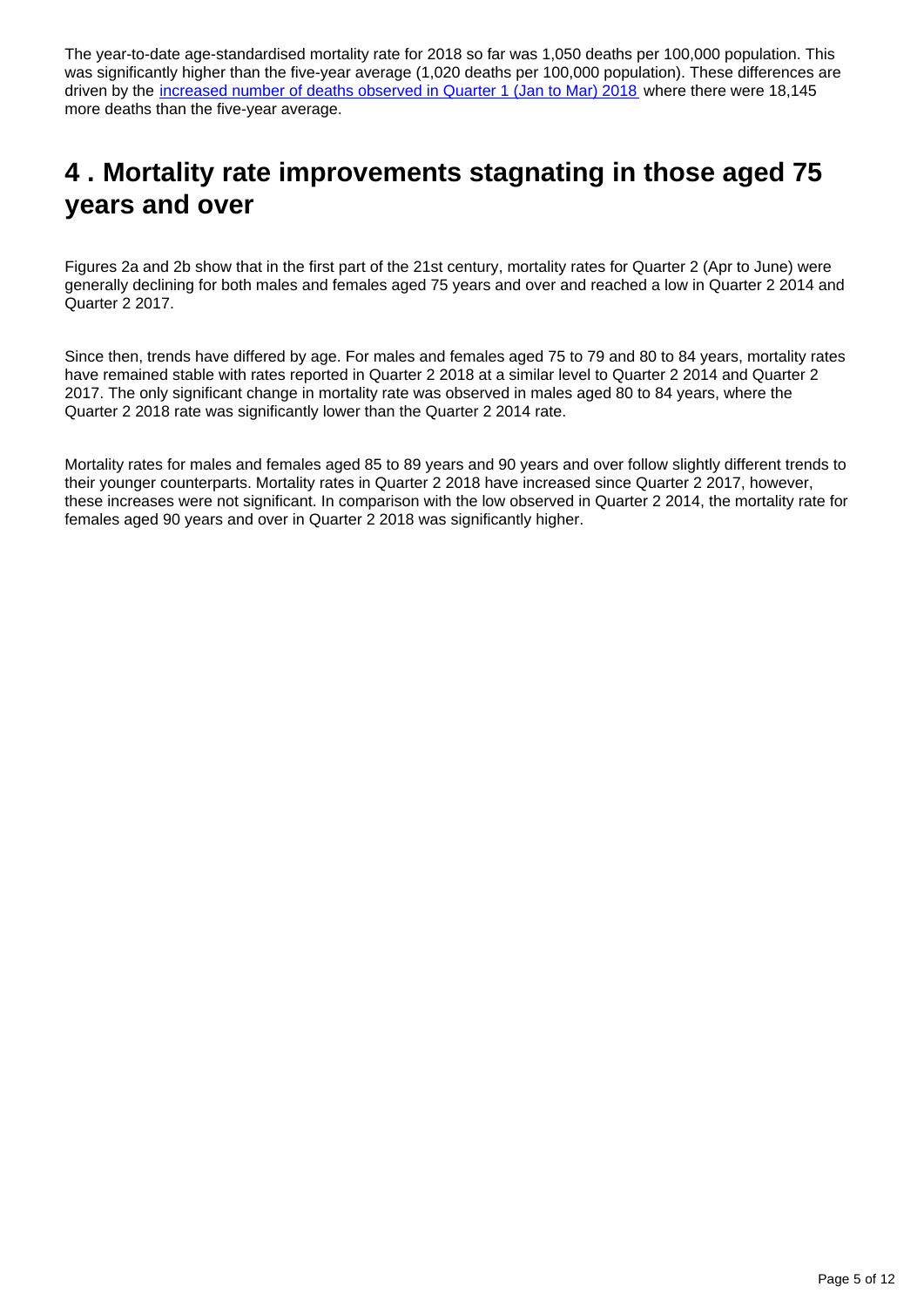The year-to-date age-standardised mortality rate for 2018 so far was 1,050 deaths per 100,000 population. This was significantly higher than the five-year average (1,020 deaths per 100,000 population). These differences are driven by the [increased number of deaths observed in Quarter 1 \(Jan to Mar\) 2018](https://www.ons.gov.uk/peoplepopulationandcommunity/birthsdeathsandmarriages/deaths/articles/quarterlymortalityreports/januarytomarch2018) where there were 18,145 more deaths than the five-year average.

## <span id="page-4-0"></span>**4 . Mortality rate improvements stagnating in those aged 75 years and over**

Figures 2a and 2b show that in the first part of the 21st century, mortality rates for Quarter 2 (Apr to June) were generally declining for both males and females aged 75 years and over and reached a low in Quarter 2 2014 and Quarter 2 2017.

Since then, trends have differed by age. For males and females aged 75 to 79 and 80 to 84 years, mortality rates have remained stable with rates reported in Quarter 2 2018 at a similar level to Quarter 2 2014 and Quarter 2 2017. The only significant change in mortality rate was observed in males aged 80 to 84 years, where the Quarter 2 2018 rate was significantly lower than the Quarter 2 2014 rate.

Mortality rates for males and females aged 85 to 89 years and 90 years and over follow slightly different trends to their younger counterparts. Mortality rates in Quarter 2 2018 have increased since Quarter 2 2017, however, these increases were not significant. In comparison with the low observed in Quarter 2 2014, the mortality rate for females aged 90 years and over in Quarter 2 2018 was significantly higher.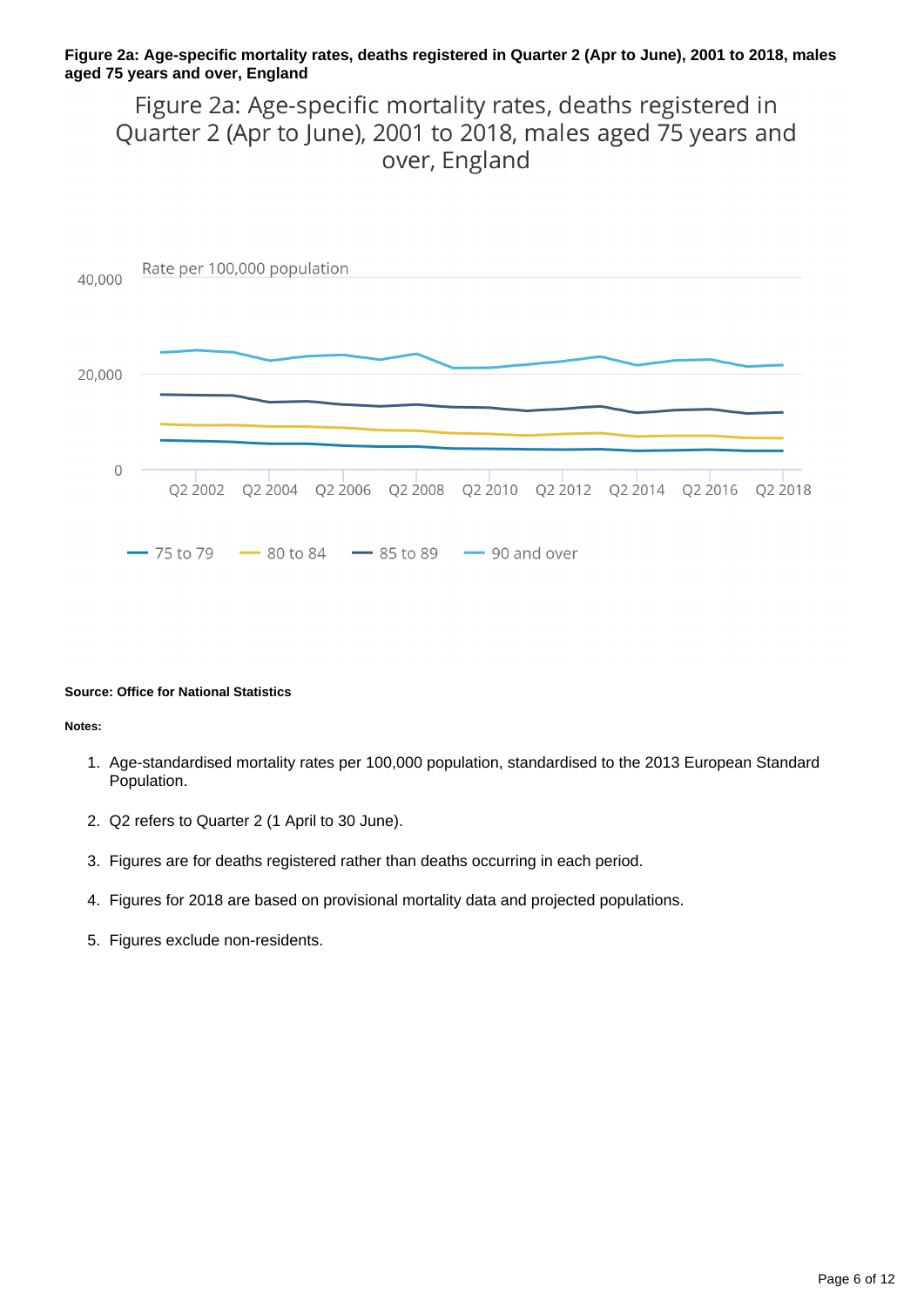#### **Figure 2a: Age-specific mortality rates, deaths registered in Quarter 2 (Apr to June), 2001 to 2018, males aged 75 years and over, England**

Figure 2a: Age-specific mortality rates, deaths registered in Quarter 2 (Apr to June), 2001 to 2018, males aged 75 years and over, England



#### **Source: Office for National Statistics**

#### **Notes:**

- 1. Age-standardised mortality rates per 100,000 population, standardised to the 2013 European Standard Population.
- 2. Q2 refers to Quarter 2 (1 April to 30 June).
- 3. Figures are for deaths registered rather than deaths occurring in each period.
- 4. Figures for 2018 are based on provisional mortality data and projected populations.
- 5. Figures exclude non-residents.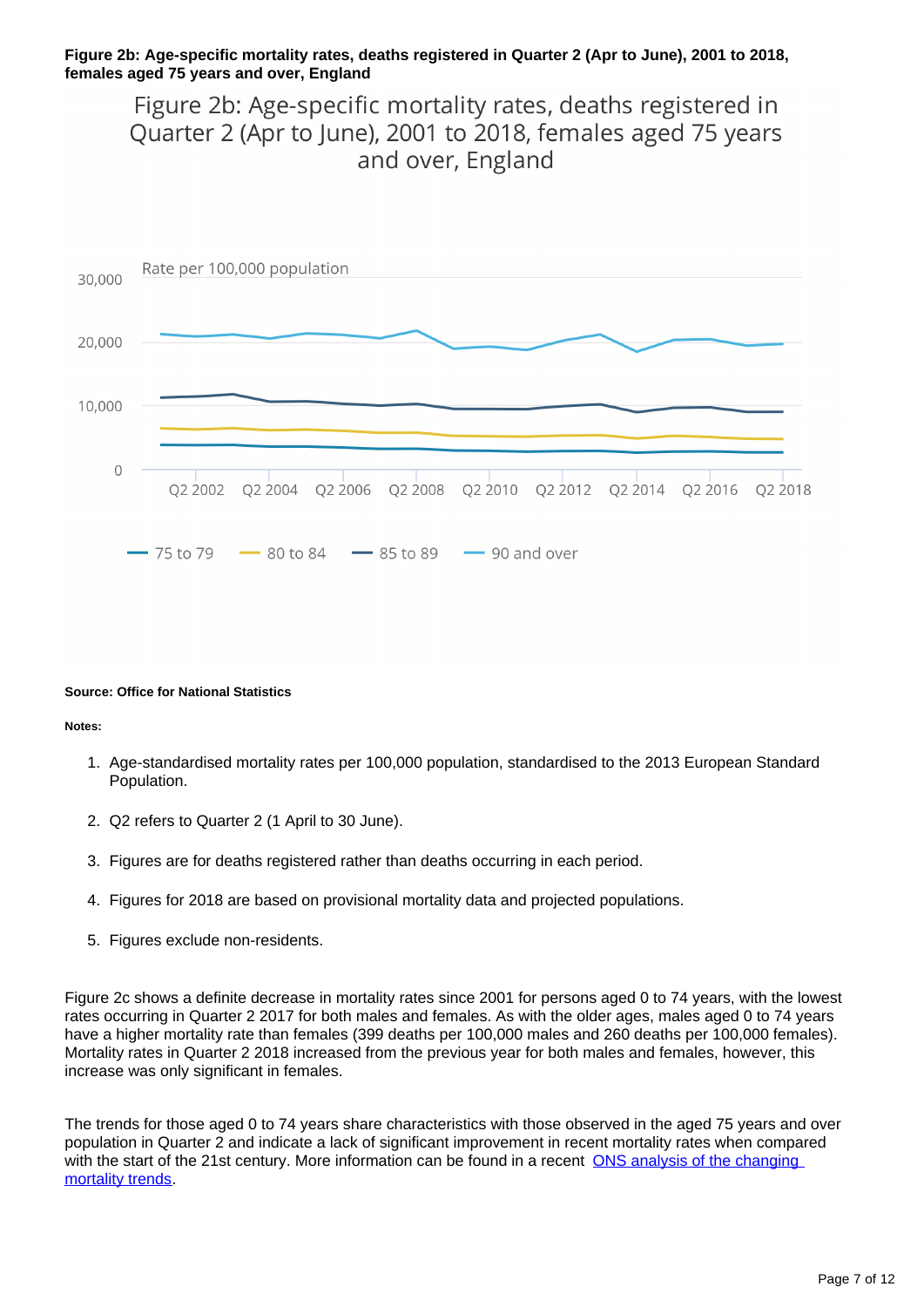#### **Figure 2b: Age-specific mortality rates, deaths registered in Quarter 2 (Apr to June), 2001 to 2018, females aged 75 years and over, England**

Figure 2b: Age-specific mortality rates, deaths registered in Quarter 2 (Apr to June), 2001 to 2018, females aged 75 years and over, England



#### **Source: Office for National Statistics**

#### **Notes:**

- 1. Age-standardised mortality rates per 100,000 population, standardised to the 2013 European Standard Population.
- 2. Q2 refers to Quarter 2 (1 April to 30 June).
- 3. Figures are for deaths registered rather than deaths occurring in each period.
- 4. Figures for 2018 are based on provisional mortality data and projected populations.
- 5. Figures exclude non-residents.

Figure 2c shows a definite decrease in mortality rates since 2001 for persons aged 0 to 74 years, with the lowest rates occurring in Quarter 2 2017 for both males and females. As with the older ages, males aged 0 to 74 years have a higher mortality rate than females (399 deaths per 100,000 males and 260 deaths per 100,000 females). Mortality rates in Quarter 2 2018 increased from the previous year for both males and females, however, this increase was only significant in females.

The trends for those aged 0 to 74 years share characteristics with those observed in the aged 75 years and over population in Quarter 2 and indicate a lack of significant improvement in recent mortality rates when compared with the start of the 21st century. More information can be found in a recent ONS analysis of the changing [mortality trends.](https://www.ons.gov.uk/peoplepopulationandcommunity/birthsdeathsandmarriages/deaths/articles/changingtrendsinmortalityinenglandandwales1990to2017/experimentalstatistics)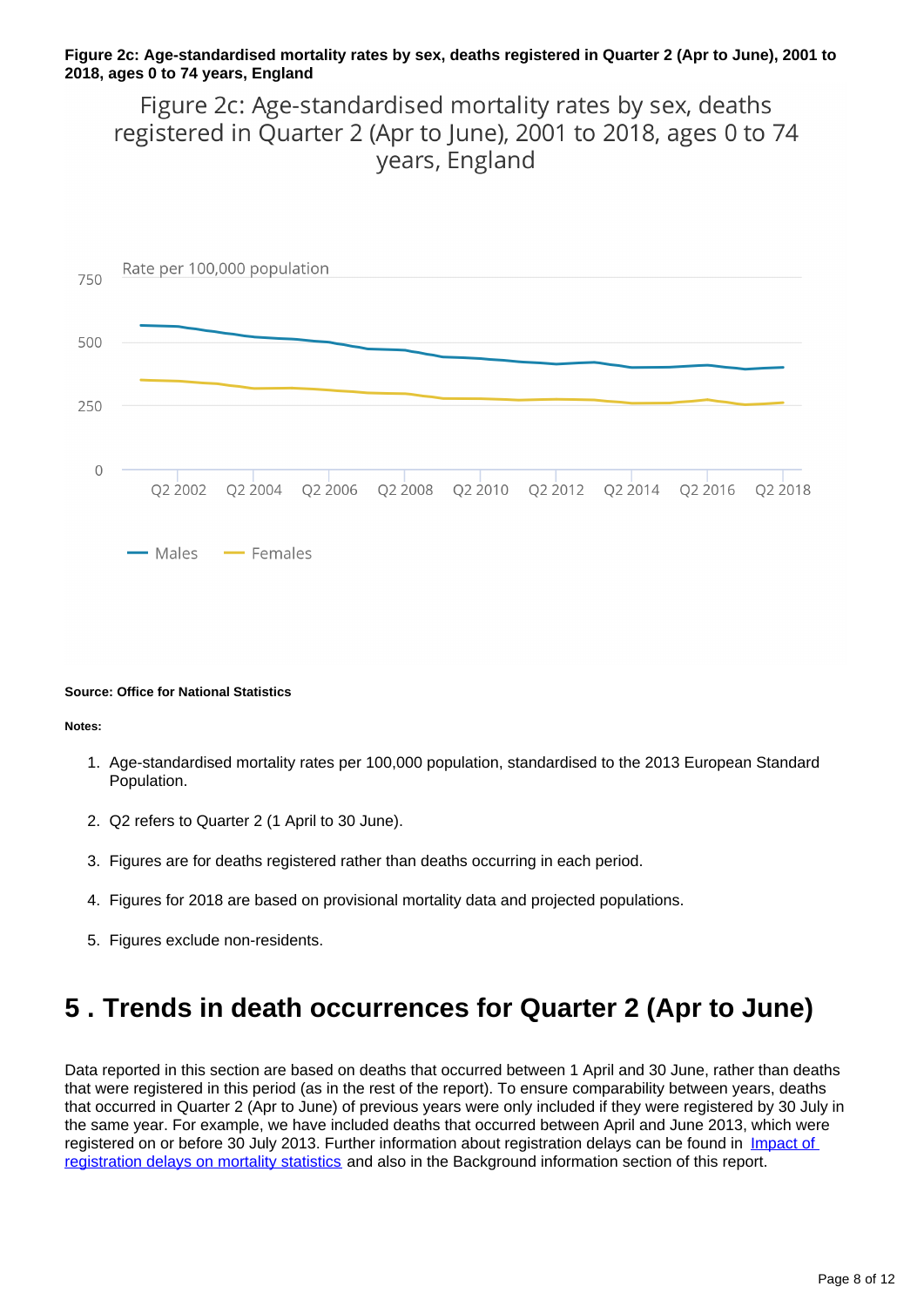#### **Figure 2c: Age-standardised mortality rates by sex, deaths registered in Quarter 2 (Apr to June), 2001 to 2018, ages 0 to 74 years, England**

Figure 2c: Age-standardised mortality rates by sex, deaths registered in Quarter 2 (Apr to June), 2001 to 2018, ages 0 to 74 vears, England



#### **Source: Office for National Statistics**

**Notes:**

- 1. Age-standardised mortality rates per 100,000 population, standardised to the 2013 European Standard Population.
- 2. Q2 refers to Quarter 2 (1 April to 30 June).
- 3. Figures are for deaths registered rather than deaths occurring in each period.
- 4. Figures for 2018 are based on provisional mortality data and projected populations.
- 5. Figures exclude non-residents.

## <span id="page-7-0"></span>**5 . Trends in death occurrences for Quarter 2 (Apr to June)**

Data reported in this section are based on deaths that occurred between 1 April and 30 June, rather than deaths that were registered in this period (as in the rest of the report). To ensure comparability between years, deaths that occurred in Quarter 2 (Apr to June) of previous years were only included if they were registered by 30 July in the same year. For example, we have included deaths that occurred between April and June 2013, which were registered on or before 30 July 2013. Further information about registration delays can be found in Impact of [registration delays on mortality statistics](https://www.ons.gov.uk/peoplepopulationandcommunity/birthsdeathsandmarriages/deaths/methodologies/impactofregistrationdelaysonmortalitystatistics2016) and also in the Background information section of this report.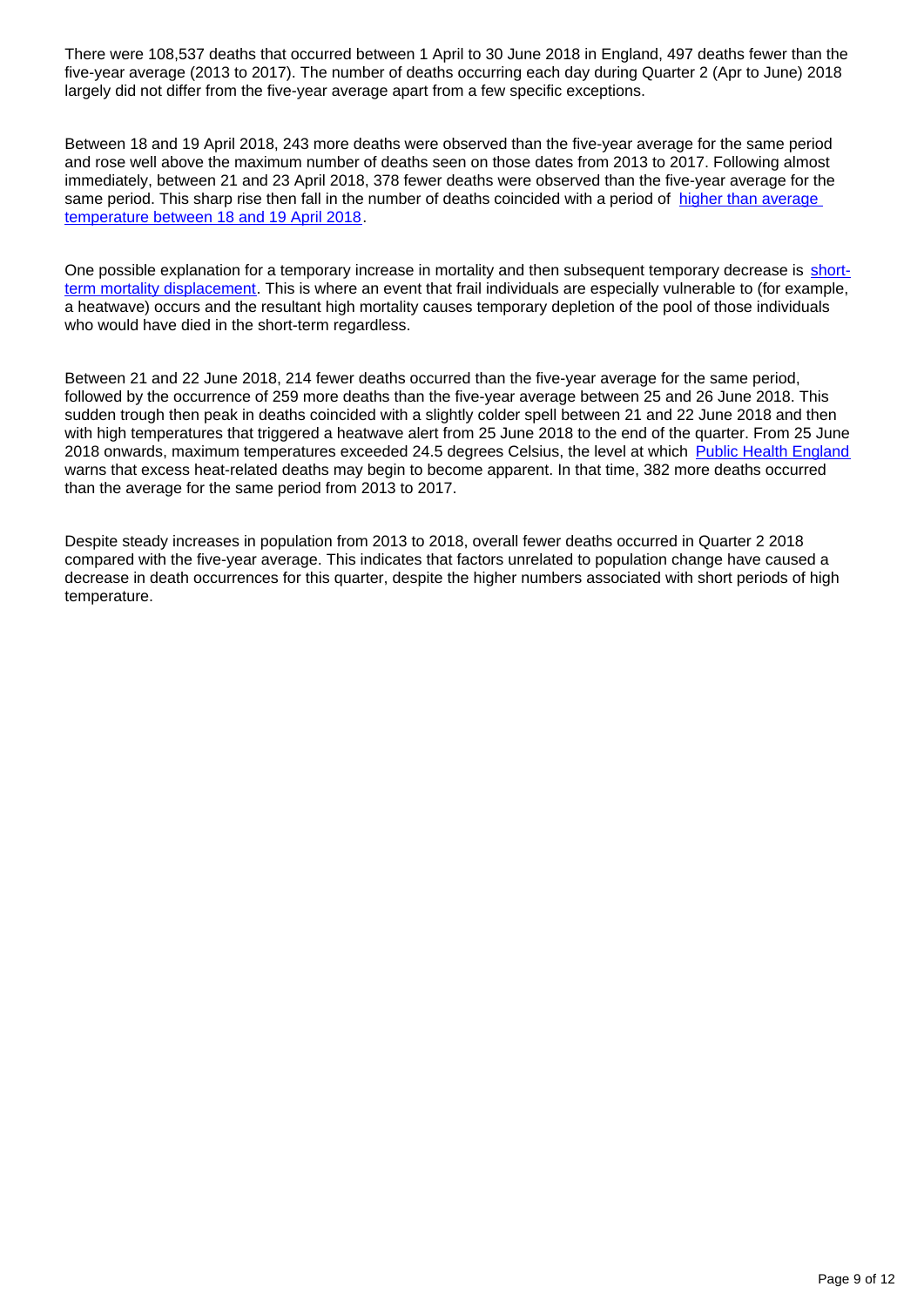There were 108,537 deaths that occurred between 1 April to 30 June 2018 in England, 497 deaths fewer than the five-year average (2013 to 2017). The number of deaths occurring each day during Quarter 2 (Apr to June) 2018 largely did not differ from the five-year average apart from a few specific exceptions.

Between 18 and 19 April 2018, 243 more deaths were observed than the five-year average for the same period and rose well above the maximum number of deaths seen on those dates from 2013 to 2017. Following almost immediately, between 21 and 23 April 2018, 378 fewer deaths were observed than the five-year average for the same period. This sharp rise then fall in the number of deaths coincided with a period of higher than average [temperature between 18 and 19 April 2018.](https://www.metoffice.gov.uk/hadobs/hadcet/data/download.html)

One possible explanation for a temporary increase in mortality and then subsequent temporary decrease is [short](http://csm.lshtm.ac.uk/centre-themes/time-series-regression-analysis/)[term mortality displacement](http://csm.lshtm.ac.uk/centre-themes/time-series-regression-analysis/). This is where an event that frail individuals are especially vulnerable to (for example, a heatwave) occurs and the resultant high mortality causes temporary depletion of the pool of those individuals who would have died in the short-term regardless.

Between 21 and 22 June 2018, 214 fewer deaths occurred than the five-year average for the same period, followed by the occurrence of 259 more deaths than the five-year average between 25 and 26 June 2018. This sudden trough then peak in deaths coincided with a slightly colder spell between 21 and 22 June 2018 and then with high temperatures that triggered a heatwave alert from 25 June 2018 to the end of the quarter. From 25 June 2018 onwards, maximum temperatures exceeded 24.5 degrees Celsius, the level at which [Public Health England](https://assets.publishing.service.gov.uk/government/uploads/system/uploads/attachment_data/file/711503/Heatwave_plan_for_England_2018.pdf) warns that excess heat-related deaths may begin to become apparent. In that time, 382 more deaths occurred than the average for the same period from 2013 to 2017.

Despite steady increases in population from 2013 to 2018, overall fewer deaths occurred in Quarter 2 2018 compared with the five-year average. This indicates that factors unrelated to population change have caused a decrease in death occurrences for this quarter, despite the higher numbers associated with short periods of high temperature.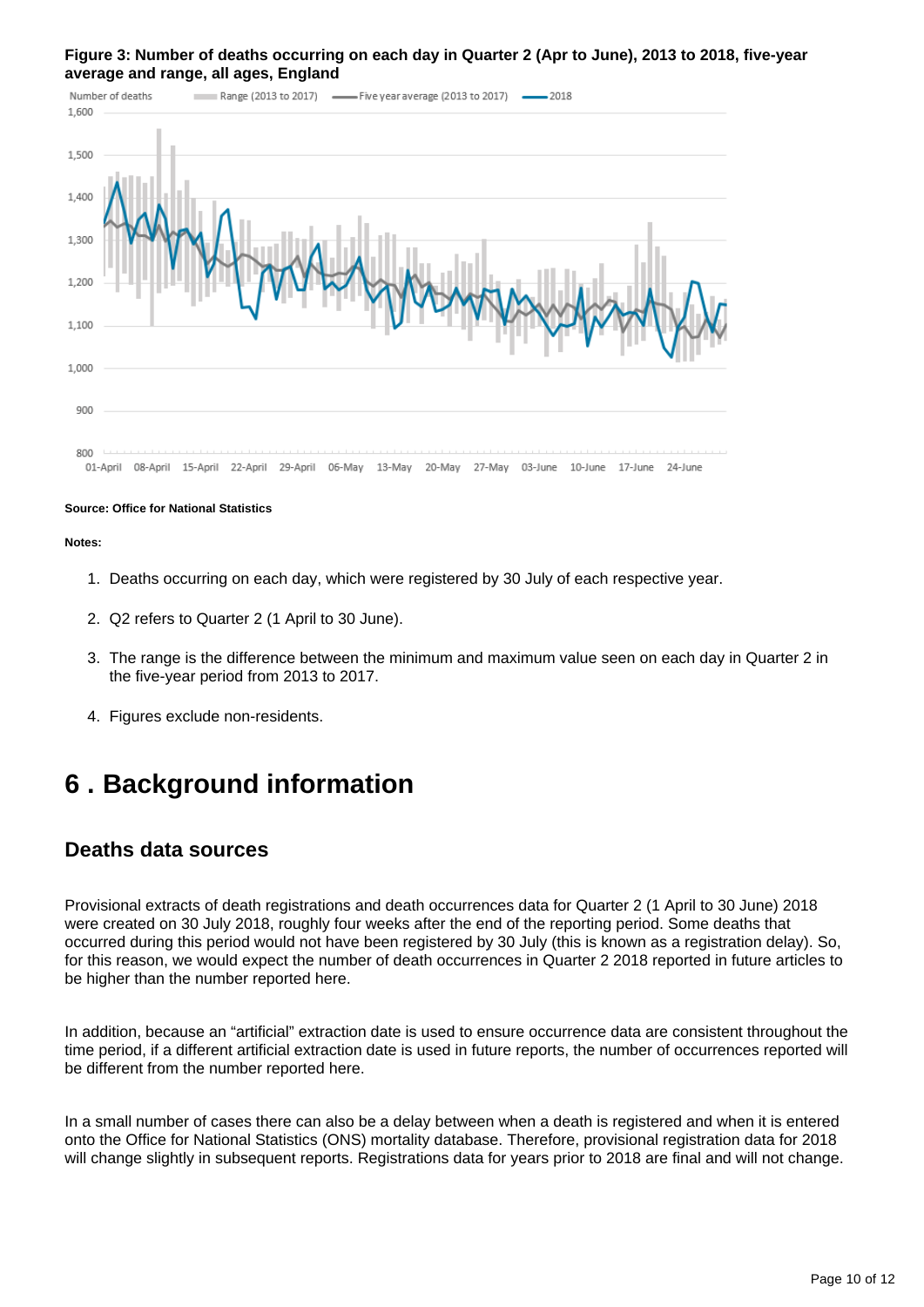#### **Figure 3: Number of deaths occurring on each day in Quarter 2 (Apr to June), 2013 to 2018, five-year average and range, all ages, England**



#### **Source: Office for National Statistics**

#### **Notes:**

- 1. Deaths occurring on each day, which were registered by 30 July of each respective year.
- 2. Q2 refers to Quarter 2 (1 April to 30 June).
- 3. The range is the difference between the minimum and maximum value seen on each day in Quarter 2 in the five-year period from 2013 to 2017.
- 4. Figures exclude non-residents.

### <span id="page-9-0"></span>**6 . Background information**

#### **Deaths data sources**

Provisional extracts of death registrations and death occurrences data for Quarter 2 (1 April to 30 June) 2018 were created on 30 July 2018, roughly four weeks after the end of the reporting period. Some deaths that occurred during this period would not have been registered by 30 July (this is known as a registration delay). So, for this reason, we would expect the number of death occurrences in Quarter 2 2018 reported in future articles to be higher than the number reported here.

In addition, because an "artificial" extraction date is used to ensure occurrence data are consistent throughout the time period, if a different artificial extraction date is used in future reports, the number of occurrences reported will be different from the number reported here.

In a small number of cases there can also be a delay between when a death is registered and when it is entered onto the Office for National Statistics (ONS) mortality database. Therefore, provisional registration data for 2018 will change slightly in subsequent reports. Registrations data for years prior to 2018 are final and will not change.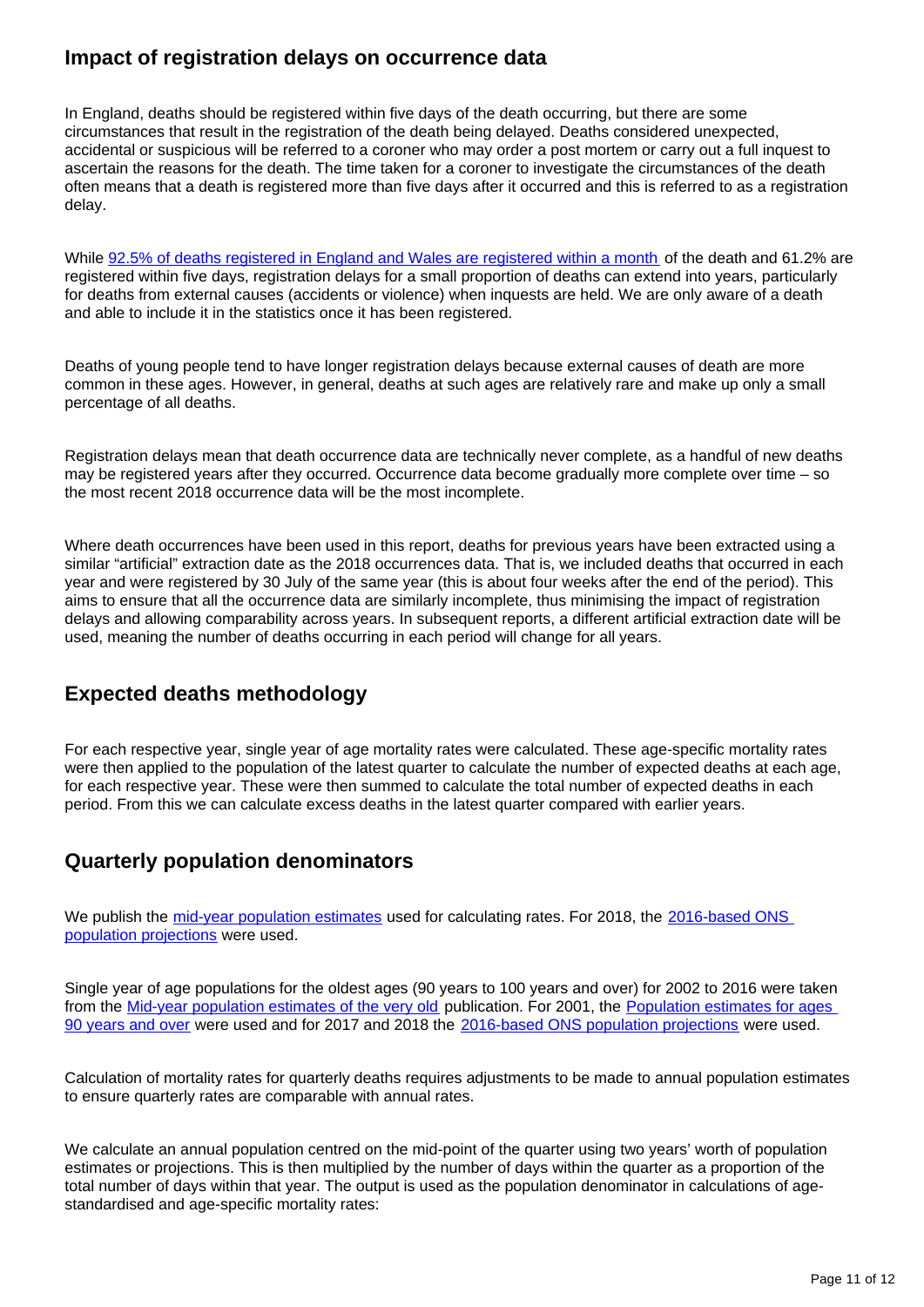### **Impact of registration delays on occurrence data**

In England, deaths should be registered within five days of the death occurring, but there are some circumstances that result in the registration of the death being delayed. Deaths considered unexpected, accidental or suspicious will be referred to a coroner who may order a post mortem or carry out a full inquest to ascertain the reasons for the death. The time taken for a coroner to investigate the circumstances of the death often means that a death is registered more than five days after it occurred and this is referred to as a registration delay.

While [92.5% of deaths registered in England and Wales are registered within a month](https://www.ons.gov.uk/peoplepopulationandcommunity/birthsdeathsandmarriages/deaths/methodologies/impactofregistrationdelaysonmortalitystatistics2016) of the death and 61.2% are registered within five days, registration delays for a small proportion of deaths can extend into years, particularly for deaths from external causes (accidents or violence) when inquests are held. We are only aware of a death and able to include it in the statistics once it has been registered.

Deaths of young people tend to have longer registration delays because external causes of death are more common in these ages. However, in general, deaths at such ages are relatively rare and make up only a small percentage of all deaths.

Registration delays mean that death occurrence data are technically never complete, as a handful of new deaths may be registered years after they occurred. Occurrence data become gradually more complete over time – so the most recent 2018 occurrence data will be the most incomplete.

Where death occurrences have been used in this report, deaths for previous years have been extracted using a similar "artificial" extraction date as the 2018 occurrences data. That is, we included deaths that occurred in each year and were registered by 30 July of the same year (this is about four weeks after the end of the period). This aims to ensure that all the occurrence data are similarly incomplete, thus minimising the impact of registration delays and allowing comparability across years. In subsequent reports, a different artificial extraction date will be used, meaning the number of deaths occurring in each period will change for all years.

### **Expected deaths methodology**

For each respective year, single year of age mortality rates were calculated. These age-specific mortality rates were then applied to the population of the latest quarter to calculate the number of expected deaths at each age, for each respective year. These were then summed to calculate the total number of expected deaths in each period. From this we can calculate excess deaths in the latest quarter compared with earlier years.

### **Quarterly population denominators**

We publish the [mid-year population estimates](https://www.ons.gov.uk/peoplepopulationandcommunity/populationandmigration/populationestimates/datasets/populationestimatesforukenglandandwalesscotlandandnorthernireland) used for calculating rates. For 2018, the 2016-based ONS [population projections](https://www.ons.gov.uk/peoplepopulationandcommunity/populationandmigration/populationprojections/bulletins/nationalpopulationprojections/2016basedstatisticalbulletin/relateddata) were used.

Single year of age populations for the oldest ages (90 years to 100 years and over) for 2002 to 2016 were taken from the [Mid-year population estimates of the very old](https://www.ons.gov.uk/peoplepopulationandcommunity/birthsdeathsandmarriages/ageing/datasets/midyearpopulationestimatesoftheveryoldincludingcentenariansengland) publication. For 2001, the Population estimates for ages [90 years and over](https://www.ons.gov.uk/peoplepopulationandcommunity/populationandmigration/populationestimates/adhocs/006899midyearpopulationestimatesforages90andoverbysingleyearsofagebysexengland2001) were used and for 2017 and 2018 the [2016-based ONS population projections](https://www.ons.gov.uk/peoplepopulationandcommunity/populationandmigration/populationprojections/bulletins/nationalpopulationprojections/2016basedstatisticalbulletin/relateddata) were used.

Calculation of mortality rates for quarterly deaths requires adjustments to be made to annual population estimates to ensure quarterly rates are comparable with annual rates.

We calculate an annual population centred on the mid-point of the quarter using two years' worth of population estimates or projections. This is then multiplied by the number of days within the quarter as a proportion of the total number of days within that year. The output is used as the population denominator in calculations of agestandardised and age-specific mortality rates: